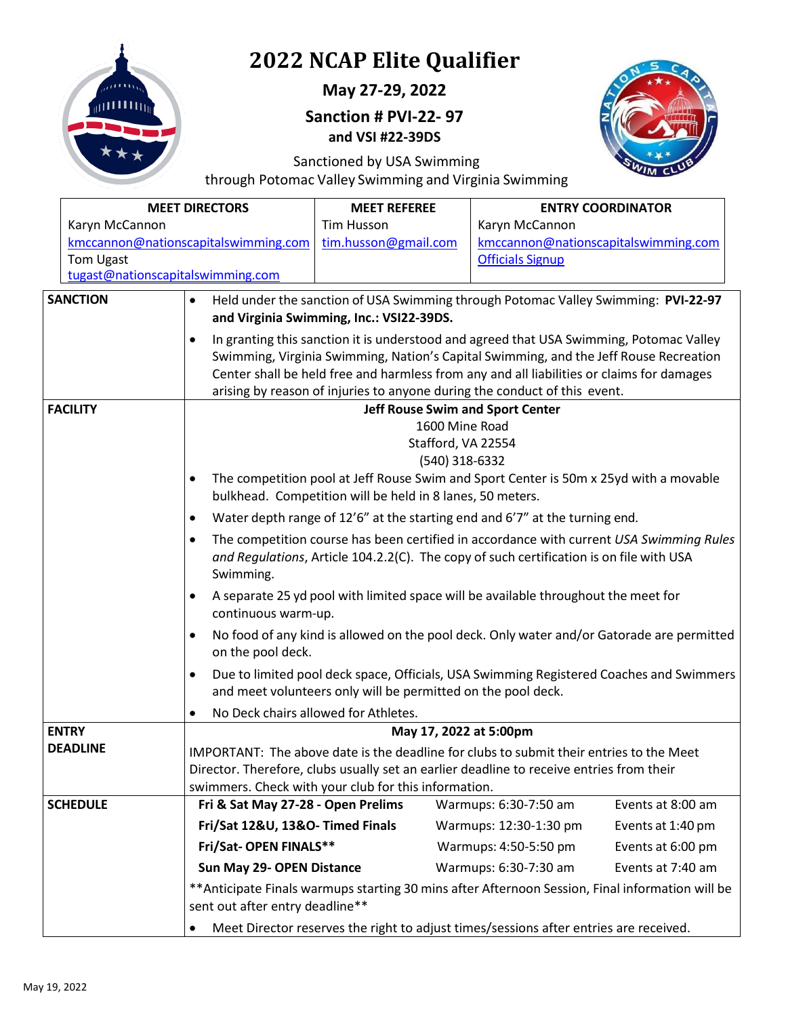

**May 27-29, 2022** 

**Sanction # PVI-22- 97 and VSI #22-39DS**



Sanctioned by USA Swimming

through Potomac Valley Swimming and Virginia Swimming

|                                   | <b>MEET DIRECTORS</b>                                                                              | <b>MEET REFEREE</b>                                                                                                                                                    | <b>ENTRY COORDINATOR</b>                 |                   |  |  |
|-----------------------------------|----------------------------------------------------------------------------------------------------|------------------------------------------------------------------------------------------------------------------------------------------------------------------------|------------------------------------------|-------------------|--|--|
| Karyn McCannon                    |                                                                                                    | <b>Tim Husson</b>                                                                                                                                                      | Karyn McCannon                           |                   |  |  |
|                                   | kmccannon@nationscapitalswimming.com                                                               | tim.husson@gmail.com                                                                                                                                                   | kmccannon@nationscapitalswimming.com     |                   |  |  |
| Tom Ugast                         |                                                                                                    |                                                                                                                                                                        | <b>Officials Signup</b>                  |                   |  |  |
| tugast@nationscapitalswimming.com |                                                                                                    |                                                                                                                                                                        |                                          |                   |  |  |
| <b>SANCTION</b>                   | $\bullet$                                                                                          | Held under the sanction of USA Swimming through Potomac Valley Swimming: PVI-22-97                                                                                     |                                          |                   |  |  |
|                                   |                                                                                                    |                                                                                                                                                                        | and Virginia Swimming, Inc.: VSI22-39DS. |                   |  |  |
|                                   | $\bullet$                                                                                          | In granting this sanction it is understood and agreed that USA Swimming, Potomac Valley                                                                                |                                          |                   |  |  |
|                                   |                                                                                                    | Swimming, Virginia Swimming, Nation's Capital Swimming, and the Jeff Rouse Recreation                                                                                  |                                          |                   |  |  |
|                                   |                                                                                                    | Center shall be held free and harmless from any and all liabilities or claims for damages<br>arising by reason of injuries to anyone during the conduct of this event. |                                          |                   |  |  |
| <b>FACILITY</b>                   |                                                                                                    |                                                                                                                                                                        | <b>Jeff Rouse Swim and Sport Center</b>  |                   |  |  |
|                                   |                                                                                                    |                                                                                                                                                                        | 1600 Mine Road                           |                   |  |  |
|                                   |                                                                                                    |                                                                                                                                                                        | Stafford, VA 22554                       |                   |  |  |
|                                   |                                                                                                    |                                                                                                                                                                        | (540) 318-6332                           |                   |  |  |
|                                   |                                                                                                    | The competition pool at Jeff Rouse Swim and Sport Center is 50m x 25yd with a movable                                                                                  |                                          |                   |  |  |
|                                   |                                                                                                    | bulkhead. Competition will be held in 8 lanes, 50 meters.                                                                                                              |                                          |                   |  |  |
|                                   | ٠                                                                                                  | Water depth range of 12'6" at the starting end and 6'7" at the turning end.                                                                                            |                                          |                   |  |  |
|                                   |                                                                                                    | The competition course has been certified in accordance with current USA Swimming Rules                                                                                |                                          |                   |  |  |
|                                   |                                                                                                    | and Regulations, Article 104.2.2(C). The copy of such certification is on file with USA                                                                                |                                          |                   |  |  |
|                                   | Swimming.                                                                                          |                                                                                                                                                                        |                                          |                   |  |  |
|                                   | ٠                                                                                                  | A separate 25 yd pool with limited space will be available throughout the meet for                                                                                     |                                          |                   |  |  |
|                                   | continuous warm-up.                                                                                |                                                                                                                                                                        |                                          |                   |  |  |
|                                   | ٠<br>on the pool deck.                                                                             | No food of any kind is allowed on the pool deck. Only water and/or Gatorade are permitted                                                                              |                                          |                   |  |  |
|                                   | ٠                                                                                                  | Due to limited pool deck space, Officials, USA Swimming Registered Coaches and Swimmers                                                                                |                                          |                   |  |  |
|                                   |                                                                                                    | and meet volunteers only will be permitted on the pool deck.                                                                                                           |                                          |                   |  |  |
|                                   | $\bullet$                                                                                          | No Deck chairs allowed for Athletes.                                                                                                                                   |                                          |                   |  |  |
| <b>ENTRY</b>                      |                                                                                                    |                                                                                                                                                                        | May 17, 2022 at 5:00pm                   |                   |  |  |
| <b>DEADLINE</b>                   |                                                                                                    | IMPORTANT: The above date is the deadline for clubs to submit their entries to the Meet                                                                                |                                          |                   |  |  |
|                                   |                                                                                                    | Director. Therefore, clubs usually set an earlier deadline to receive entries from their                                                                               |                                          |                   |  |  |
| <b>SCHEDULE</b>                   |                                                                                                    | swimmers. Check with your club for this information.                                                                                                                   |                                          |                   |  |  |
|                                   | Fri & Sat May 27-28 - Open Prelims                                                                 |                                                                                                                                                                        | Warmups: 6:30-7:50 am                    | Events at 8:00 am |  |  |
|                                   | Fri/Sat 12&U, 13&O- Timed Finals                                                                   |                                                                                                                                                                        | Warmups: 12:30-1:30 pm                   | Events at 1:40 pm |  |  |
|                                   | Fri/Sat- OPEN FINALS**                                                                             |                                                                                                                                                                        | Warmups: 4:50-5:50 pm                    | Events at 6:00 pm |  |  |
|                                   | Sun May 29- OPEN Distance                                                                          |                                                                                                                                                                        | Warmups: 6:30-7:30 am                    | Events at 7:40 am |  |  |
|                                   | sent out after entry deadline**                                                                    | ** Anticipate Finals warmups starting 30 mins after Afternoon Session, Final information will be                                                                       |                                          |                   |  |  |
|                                   | Meet Director reserves the right to adjust times/sessions after entries are received.<br>$\bullet$ |                                                                                                                                                                        |                                          |                   |  |  |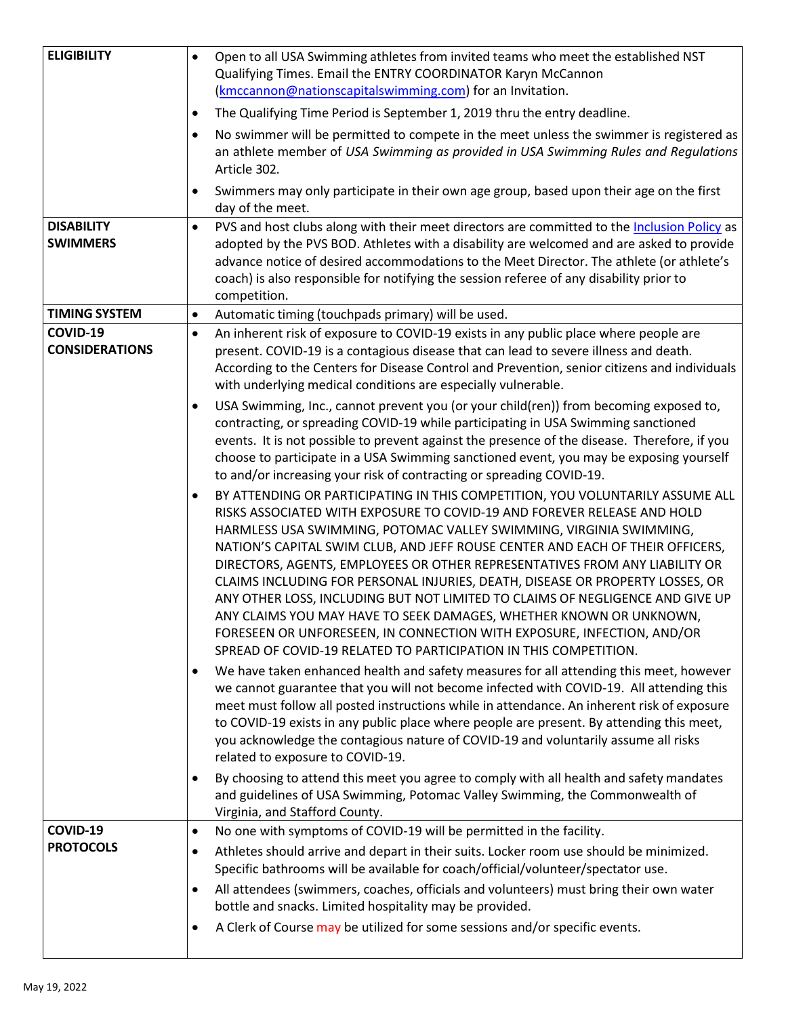| <b>ELIGIBILITY</b>    | $\bullet$ | Open to all USA Swimming athletes from invited teams who meet the established NST                                                                                                   |
|-----------------------|-----------|-------------------------------------------------------------------------------------------------------------------------------------------------------------------------------------|
|                       |           | Qualifying Times. Email the ENTRY COORDINATOR Karyn McCannon                                                                                                                        |
|                       |           | (kmccannon@nationscapitalswimming.com) for an Invitation.                                                                                                                           |
|                       | ٠         | The Qualifying Time Period is September 1, 2019 thru the entry deadline.                                                                                                            |
|                       | $\bullet$ | No swimmer will be permitted to compete in the meet unless the swimmer is registered as                                                                                             |
|                       |           | an athlete member of USA Swimming as provided in USA Swimming Rules and Regulations                                                                                                 |
|                       |           | Article 302.                                                                                                                                                                        |
|                       |           | Swimmers may only participate in their own age group, based upon their age on the first                                                                                             |
|                       |           | day of the meet.                                                                                                                                                                    |
| <b>DISABILITY</b>     | $\bullet$ | PVS and host clubs along with their meet directors are committed to the Inclusion Policy as                                                                                         |
| <b>SWIMMERS</b>       |           | adopted by the PVS BOD. Athletes with a disability are welcomed and are asked to provide                                                                                            |
|                       |           | advance notice of desired accommodations to the Meet Director. The athlete (or athlete's<br>coach) is also responsible for notifying the session referee of any disability prior to |
|                       |           | competition.                                                                                                                                                                        |
| <b>TIMING SYSTEM</b>  | $\bullet$ | Automatic timing (touchpads primary) will be used.                                                                                                                                  |
| COVID-19              | $\bullet$ | An inherent risk of exposure to COVID-19 exists in any public place where people are                                                                                                |
| <b>CONSIDERATIONS</b> |           | present. COVID-19 is a contagious disease that can lead to severe illness and death.                                                                                                |
|                       |           | According to the Centers for Disease Control and Prevention, senior citizens and individuals                                                                                        |
|                       |           | with underlying medical conditions are especially vulnerable.                                                                                                                       |
|                       | ٠         | USA Swimming, Inc., cannot prevent you (or your child(ren)) from becoming exposed to,                                                                                               |
|                       |           | contracting, or spreading COVID-19 while participating in USA Swimming sanctioned                                                                                                   |
|                       |           | events. It is not possible to prevent against the presence of the disease. Therefore, if you                                                                                        |
|                       |           | choose to participate in a USA Swimming sanctioned event, you may be exposing yourself<br>to and/or increasing your risk of contracting or spreading COVID-19.                      |
|                       | ٠         | BY ATTENDING OR PARTICIPATING IN THIS COMPETITION, YOU VOLUNTARILY ASSUME ALL                                                                                                       |
|                       |           | RISKS ASSOCIATED WITH EXPOSURE TO COVID-19 AND FOREVER RELEASE AND HOLD                                                                                                             |
|                       |           | HARMLESS USA SWIMMING, POTOMAC VALLEY SWIMMING, VIRGINIA SWIMMING,                                                                                                                  |
|                       |           | NATION'S CAPITAL SWIM CLUB, AND JEFF ROUSE CENTER AND EACH OF THEIR OFFICERS,                                                                                                       |
|                       |           | DIRECTORS, AGENTS, EMPLOYEES OR OTHER REPRESENTATIVES FROM ANY LIABILITY OR                                                                                                         |
|                       |           | CLAIMS INCLUDING FOR PERSONAL INJURIES, DEATH, DISEASE OR PROPERTY LOSSES, OR                                                                                                       |
|                       |           | ANY OTHER LOSS, INCLUDING BUT NOT LIMITED TO CLAIMS OF NEGLIGENCE AND GIVE UP<br>ANY CLAIMS YOU MAY HAVE TO SEEK DAMAGES, WHETHER KNOWN OR UNKNOWN,                                 |
|                       |           | FORESEEN OR UNFORESEEN, IN CONNECTION WITH EXPOSURE, INFECTION, AND/OR                                                                                                              |
|                       |           | SPREAD OF COVID-19 RELATED TO PARTICIPATION IN THIS COMPETITION.                                                                                                                    |
|                       | ٠         | We have taken enhanced health and safety measures for all attending this meet, however                                                                                              |
|                       |           | we cannot guarantee that you will not become infected with COVID-19. All attending this                                                                                             |
|                       |           | meet must follow all posted instructions while in attendance. An inherent risk of exposure                                                                                          |
|                       |           | to COVID-19 exists in any public place where people are present. By attending this meet,                                                                                            |
|                       |           | you acknowledge the contagious nature of COVID-19 and voluntarily assume all risks                                                                                                  |
|                       |           | related to exposure to COVID-19.                                                                                                                                                    |
|                       | ٠         | By choosing to attend this meet you agree to comply with all health and safety mandates                                                                                             |
|                       |           | and guidelines of USA Swimming, Potomac Valley Swimming, the Commonwealth of<br>Virginia, and Stafford County.                                                                      |
| COVID-19              | $\bullet$ | No one with symptoms of COVID-19 will be permitted in the facility.                                                                                                                 |
| <b>PROTOCOLS</b>      | ٠         | Athletes should arrive and depart in their suits. Locker room use should be minimized.                                                                                              |
|                       |           | Specific bathrooms will be available for coach/official/volunteer/spectator use.                                                                                                    |
|                       | ٠         | All attendees (swimmers, coaches, officials and volunteers) must bring their own water                                                                                              |
|                       |           | bottle and snacks. Limited hospitality may be provided.                                                                                                                             |
|                       | ٠         | A Clerk of Course may be utilized for some sessions and/or specific events.                                                                                                         |
|                       |           |                                                                                                                                                                                     |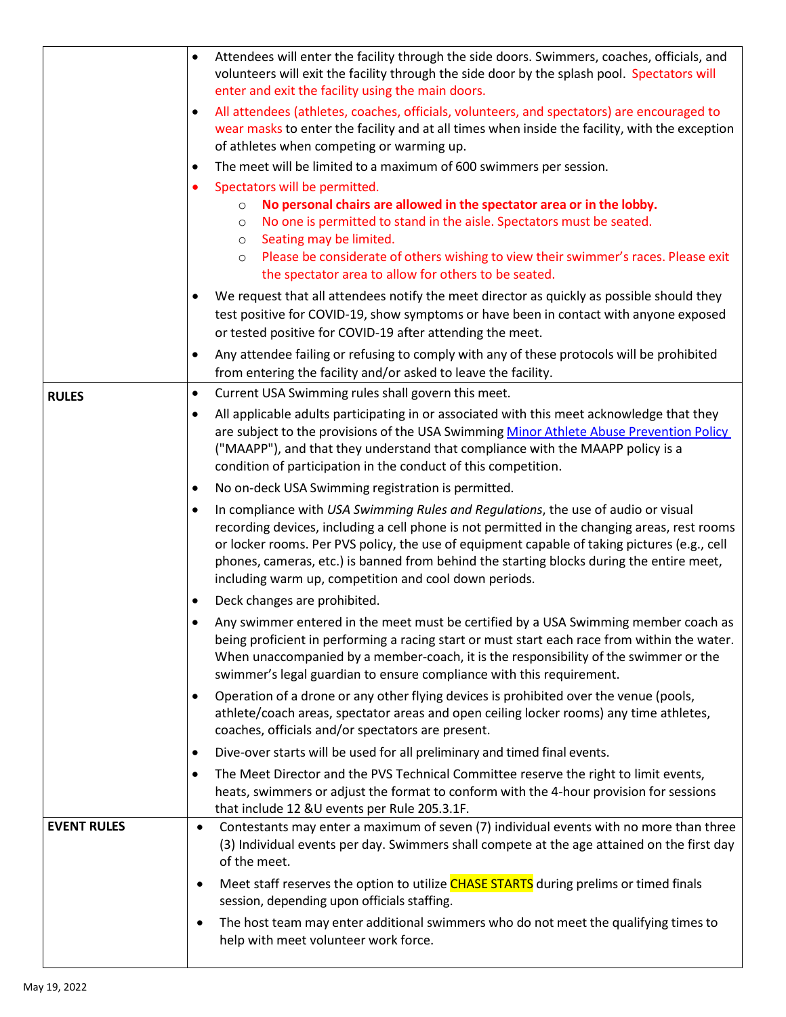|                    |           | Attendees will enter the facility through the side doors. Swimmers, coaches, officials, and<br>volunteers will exit the facility through the side door by the splash pool. Spectators will<br>enter and exit the facility using the main doors.                                                                                                                                                                                        |
|--------------------|-----------|----------------------------------------------------------------------------------------------------------------------------------------------------------------------------------------------------------------------------------------------------------------------------------------------------------------------------------------------------------------------------------------------------------------------------------------|
|                    | $\bullet$ | All attendees (athletes, coaches, officials, volunteers, and spectators) are encouraged to<br>wear masks to enter the facility and at all times when inside the facility, with the exception<br>of athletes when competing or warming up.                                                                                                                                                                                              |
|                    | $\bullet$ | The meet will be limited to a maximum of 600 swimmers per session.                                                                                                                                                                                                                                                                                                                                                                     |
|                    | $\bullet$ | Spectators will be permitted.                                                                                                                                                                                                                                                                                                                                                                                                          |
|                    |           | No personal chairs are allowed in the spectator area or in the lobby.<br>$\circ$<br>No one is permitted to stand in the aisle. Spectators must be seated.<br>$\circ$<br>Seating may be limited.<br>$\circ$<br>Please be considerate of others wishing to view their swimmer's races. Please exit<br>$\circ$                                                                                                                            |
|                    |           | the spectator area to allow for others to be seated.                                                                                                                                                                                                                                                                                                                                                                                   |
|                    | $\bullet$ | We request that all attendees notify the meet director as quickly as possible should they<br>test positive for COVID-19, show symptoms or have been in contact with anyone exposed<br>or tested positive for COVID-19 after attending the meet.                                                                                                                                                                                        |
|                    | $\bullet$ | Any attendee failing or refusing to comply with any of these protocols will be prohibited<br>from entering the facility and/or asked to leave the facility.                                                                                                                                                                                                                                                                            |
| <b>RULES</b>       | $\bullet$ | Current USA Swimming rules shall govern this meet.                                                                                                                                                                                                                                                                                                                                                                                     |
|                    | $\bullet$ | All applicable adults participating in or associated with this meet acknowledge that they<br>are subject to the provisions of the USA Swimming Minor Athlete Abuse Prevention Policy<br>("MAAPP"), and that they understand that compliance with the MAAPP policy is a<br>condition of participation in the conduct of this competition.                                                                                               |
|                    | $\bullet$ | No on-deck USA Swimming registration is permitted.                                                                                                                                                                                                                                                                                                                                                                                     |
|                    | $\bullet$ | In compliance with USA Swimming Rules and Regulations, the use of audio or visual<br>recording devices, including a cell phone is not permitted in the changing areas, rest rooms<br>or locker rooms. Per PVS policy, the use of equipment capable of taking pictures (e.g., cell<br>phones, cameras, etc.) is banned from behind the starting blocks during the entire meet,<br>including warm up, competition and cool down periods. |
|                    | $\bullet$ | Deck changes are prohibited.                                                                                                                                                                                                                                                                                                                                                                                                           |
|                    |           | Any swimmer entered in the meet must be certified by a USA Swimming member coach as<br>being proficient in performing a racing start or must start each race from within the water.<br>When unaccompanied by a member-coach, it is the responsibility of the swimmer or the<br>swimmer's legal guardian to ensure compliance with this requirement.                                                                                    |
|                    | $\bullet$ | Operation of a drone or any other flying devices is prohibited over the venue (pools,<br>athlete/coach areas, spectator areas and open ceiling locker rooms) any time athletes,<br>coaches, officials and/or spectators are present.                                                                                                                                                                                                   |
|                    | $\bullet$ | Dive-over starts will be used for all preliminary and timed final events.                                                                                                                                                                                                                                                                                                                                                              |
|                    | $\bullet$ | The Meet Director and the PVS Technical Committee reserve the right to limit events,<br>heats, swimmers or adjust the format to conform with the 4-hour provision for sessions<br>that include 12 &U events per Rule 205.3.1F.                                                                                                                                                                                                         |
| <b>EVENT RULES</b> | $\bullet$ | Contestants may enter a maximum of seven (7) individual events with no more than three<br>(3) Individual events per day. Swimmers shall compete at the age attained on the first day<br>of the meet.                                                                                                                                                                                                                                   |
|                    |           | Meet staff reserves the option to utilize CHASE STARTS during prelims or timed finals<br>session, depending upon officials staffing.                                                                                                                                                                                                                                                                                                   |
|                    |           | The host team may enter additional swimmers who do not meet the qualifying times to<br>help with meet volunteer work force.                                                                                                                                                                                                                                                                                                            |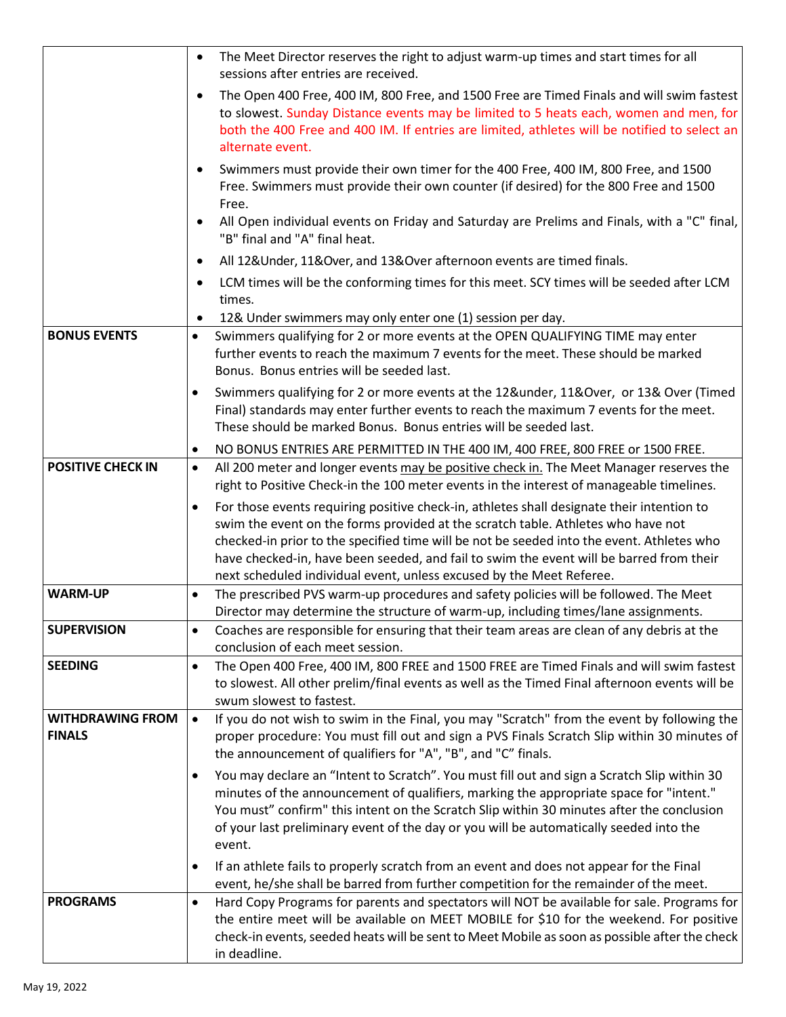|                                          |           | The Meet Director reserves the right to adjust warm-up times and start times for all<br>sessions after entries are received.                                                                                                                                                                                                                                                                                                                  |
|------------------------------------------|-----------|-----------------------------------------------------------------------------------------------------------------------------------------------------------------------------------------------------------------------------------------------------------------------------------------------------------------------------------------------------------------------------------------------------------------------------------------------|
|                                          |           | The Open 400 Free, 400 IM, 800 Free, and 1500 Free are Timed Finals and will swim fastest<br>to slowest. Sunday Distance events may be limited to 5 heats each, women and men, for<br>both the 400 Free and 400 IM. If entries are limited, athletes will be notified to select an<br>alternate event.                                                                                                                                        |
|                                          |           | Swimmers must provide their own timer for the 400 Free, 400 IM, 800 Free, and 1500<br>Free. Swimmers must provide their own counter (if desired) for the 800 Free and 1500<br>Free.                                                                                                                                                                                                                                                           |
|                                          |           | All Open individual events on Friday and Saturday are Prelims and Finals, with a "C" final,<br>"B" final and "A" final heat.                                                                                                                                                                                                                                                                                                                  |
|                                          |           | All 12& Under, 11& Over, and 13& Over afternoon events are timed finals.                                                                                                                                                                                                                                                                                                                                                                      |
|                                          | $\bullet$ | LCM times will be the conforming times for this meet. SCY times will be seeded after LCM<br>times.                                                                                                                                                                                                                                                                                                                                            |
|                                          |           | 12& Under swimmers may only enter one (1) session per day.                                                                                                                                                                                                                                                                                                                                                                                    |
| <b>BONUS EVENTS</b>                      | $\bullet$ | Swimmers qualifying for 2 or more events at the OPEN QUALIFYING TIME may enter<br>further events to reach the maximum 7 events for the meet. These should be marked<br>Bonus. Bonus entries will be seeded last.                                                                                                                                                                                                                              |
|                                          |           | Swimmers qualifying for 2 or more events at the 12&under, 11&Over, or 13& Over (Timed<br>Final) standards may enter further events to reach the maximum 7 events for the meet.<br>These should be marked Bonus. Bonus entries will be seeded last.                                                                                                                                                                                            |
|                                          | $\bullet$ | NO BONUS ENTRIES ARE PERMITTED IN THE 400 IM, 400 FREE, 800 FREE or 1500 FREE.                                                                                                                                                                                                                                                                                                                                                                |
| <b>POSITIVE CHECK IN</b>                 | $\bullet$ | All 200 meter and longer events may be positive check in. The Meet Manager reserves the<br>right to Positive Check-in the 100 meter events in the interest of manageable timelines.                                                                                                                                                                                                                                                           |
|                                          | $\bullet$ | For those events requiring positive check-in, athletes shall designate their intention to<br>swim the event on the forms provided at the scratch table. Athletes who have not<br>checked-in prior to the specified time will be not be seeded into the event. Athletes who<br>have checked-in, have been seeded, and fail to swim the event will be barred from their<br>next scheduled individual event, unless excused by the Meet Referee. |
| <b>WARM-UP</b>                           | $\bullet$ | The prescribed PVS warm-up procedures and safety policies will be followed. The Meet                                                                                                                                                                                                                                                                                                                                                          |
|                                          |           | Director may determine the structure of warm-up, including times/lane assignments.                                                                                                                                                                                                                                                                                                                                                            |
| <b>SUPERVISION</b>                       | ٠         | Coaches are responsible for ensuring that their team areas are clean of any debris at the<br>conclusion of each meet session.                                                                                                                                                                                                                                                                                                                 |
| <b>SEEDING</b>                           | $\bullet$ | The Open 400 Free, 400 IM, 800 FREE and 1500 FREE are Timed Finals and will swim fastest<br>to slowest. All other prelim/final events as well as the Timed Final afternoon events will be<br>swum slowest to fastest.                                                                                                                                                                                                                         |
| <b>WITHDRAWING FROM</b><br><b>FINALS</b> | $\bullet$ | If you do not wish to swim in the Final, you may "Scratch" from the event by following the<br>proper procedure: You must fill out and sign a PVS Finals Scratch Slip within 30 minutes of<br>the announcement of qualifiers for "A", "B", and "C" finals.                                                                                                                                                                                     |
|                                          | $\bullet$ | You may declare an "Intent to Scratch". You must fill out and sign a Scratch Slip within 30<br>minutes of the announcement of qualifiers, marking the appropriate space for "intent."<br>You must" confirm" this intent on the Scratch Slip within 30 minutes after the conclusion<br>of your last preliminary event of the day or you will be automatically seeded into the<br>event.                                                        |
|                                          | $\bullet$ | If an athlete fails to properly scratch from an event and does not appear for the Final<br>event, he/she shall be barred from further competition for the remainder of the meet.                                                                                                                                                                                                                                                              |
| <b>PROGRAMS</b>                          | $\bullet$ | Hard Copy Programs for parents and spectators will NOT be available for sale. Programs for<br>the entire meet will be available on MEET MOBILE for \$10 for the weekend. For positive<br>check-in events, seeded heats will be sent to Meet Mobile as soon as possible after the check<br>in deadline.                                                                                                                                        |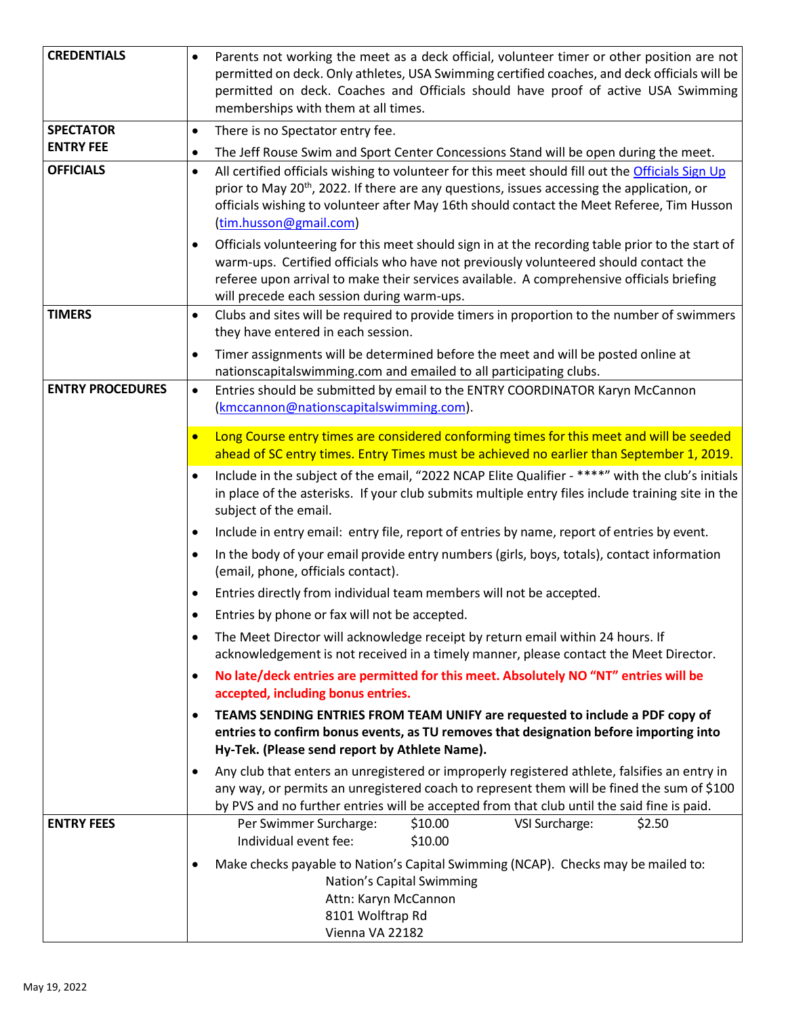| <b>CREDENTIALS</b>      | $\bullet$                                                                                                                                                                                                                                   | Parents not working the meet as a deck official, volunteer timer or other position are not<br>permitted on deck. Only athletes, USA Swimming certified coaches, and deck officials will be<br>permitted on deck. Coaches and Officials should have proof of active USA Swimming<br>memberships with them at all times.              |  |  |  |  |  |  |
|-------------------------|---------------------------------------------------------------------------------------------------------------------------------------------------------------------------------------------------------------------------------------------|-------------------------------------------------------------------------------------------------------------------------------------------------------------------------------------------------------------------------------------------------------------------------------------------------------------------------------------|--|--|--|--|--|--|
| <b>SPECTATOR</b>        | $\bullet$                                                                                                                                                                                                                                   | There is no Spectator entry fee.                                                                                                                                                                                                                                                                                                    |  |  |  |  |  |  |
| <b>ENTRY FEE</b>        | ٠                                                                                                                                                                                                                                           | The Jeff Rouse Swim and Sport Center Concessions Stand will be open during the meet.                                                                                                                                                                                                                                                |  |  |  |  |  |  |
| <b>OFFICIALS</b>        | $\bullet$                                                                                                                                                                                                                                   | All certified officials wishing to volunteer for this meet should fill out the Officials Sign Up<br>prior to May 20 <sup>th</sup> , 2022. If there are any questions, issues accessing the application, or<br>officials wishing to volunteer after May 16th should contact the Meet Referee, Tim Husson<br>(tim.husson@gmail.com)   |  |  |  |  |  |  |
|                         | ٠                                                                                                                                                                                                                                           | Officials volunteering for this meet should sign in at the recording table prior to the start of<br>warm-ups. Certified officials who have not previously volunteered should contact the<br>referee upon arrival to make their services available. A comprehensive officials briefing<br>will precede each session during warm-ups. |  |  |  |  |  |  |
| <b>TIMERS</b>           | ٠                                                                                                                                                                                                                                           | Clubs and sites will be required to provide timers in proportion to the number of swimmers<br>they have entered in each session.                                                                                                                                                                                                    |  |  |  |  |  |  |
|                         | ٠                                                                                                                                                                                                                                           | Timer assignments will be determined before the meet and will be posted online at<br>nationscapitalswimming.com and emailed to all participating clubs.                                                                                                                                                                             |  |  |  |  |  |  |
| <b>ENTRY PROCEDURES</b> | $\bullet$                                                                                                                                                                                                                                   | Entries should be submitted by email to the ENTRY COORDINATOR Karyn McCannon<br>(kmccannon@nationscapitalswimming.com).                                                                                                                                                                                                             |  |  |  |  |  |  |
|                         |                                                                                                                                                                                                                                             | Long Course entry times are considered conforming times for this meet and will be seeded<br>ahead of SC entry times. Entry Times must be achieved no earlier than September 1, 2019.                                                                                                                                                |  |  |  |  |  |  |
|                         | Include in the subject of the email, "2022 NCAP Elite Qualifier - ****" with the club's initials<br>$\bullet$<br>in place of the asterisks. If your club submits multiple entry files include training site in the<br>subject of the email. |                                                                                                                                                                                                                                                                                                                                     |  |  |  |  |  |  |
|                         | ٠                                                                                                                                                                                                                                           | Include in entry email: entry file, report of entries by name, report of entries by event.                                                                                                                                                                                                                                          |  |  |  |  |  |  |
|                         | ٠                                                                                                                                                                                                                                           | In the body of your email provide entry numbers (girls, boys, totals), contact information<br>(email, phone, officials contact).                                                                                                                                                                                                    |  |  |  |  |  |  |
|                         | ٠                                                                                                                                                                                                                                           | Entries directly from individual team members will not be accepted.                                                                                                                                                                                                                                                                 |  |  |  |  |  |  |
|                         | $\bullet$                                                                                                                                                                                                                                   | Entries by phone or fax will not be accepted.                                                                                                                                                                                                                                                                                       |  |  |  |  |  |  |
|                         | $\bullet$                                                                                                                                                                                                                                   | The Meet Director will acknowledge receipt by return email within 24 hours. If<br>acknowledgement is not received in a timely manner, please contact the Meet Director.                                                                                                                                                             |  |  |  |  |  |  |
|                         | $\bullet$                                                                                                                                                                                                                                   | No late/deck entries are permitted for this meet. Absolutely NO "NT" entries will be<br>accepted, including bonus entries.                                                                                                                                                                                                          |  |  |  |  |  |  |
|                         | $\bullet$                                                                                                                                                                                                                                   | TEAMS SENDING ENTRIES FROM TEAM UNIFY are requested to include a PDF copy of<br>entries to confirm bonus events, as TU removes that designation before importing into<br>Hy-Tek. (Please send report by Athlete Name).                                                                                                              |  |  |  |  |  |  |
|                         | $\bullet$                                                                                                                                                                                                                                   | Any club that enters an unregistered or improperly registered athlete, falsifies an entry in<br>any way, or permits an unregistered coach to represent them will be fined the sum of \$100<br>by PVS and no further entries will be accepted from that club until the said fine is paid.                                            |  |  |  |  |  |  |
| <b>ENTRY FEES</b>       |                                                                                                                                                                                                                                             | Per Swimmer Surcharge:<br>\$10.00<br>\$2.50<br>VSI Surcharge:<br>Individual event fee:<br>\$10.00                                                                                                                                                                                                                                   |  |  |  |  |  |  |
|                         | $\bullet$                                                                                                                                                                                                                                   | Make checks payable to Nation's Capital Swimming (NCAP). Checks may be mailed to:<br>Nation's Capital Swimming<br>Attn: Karyn McCannon<br>8101 Wolftrap Rd<br>Vienna VA 22182                                                                                                                                                       |  |  |  |  |  |  |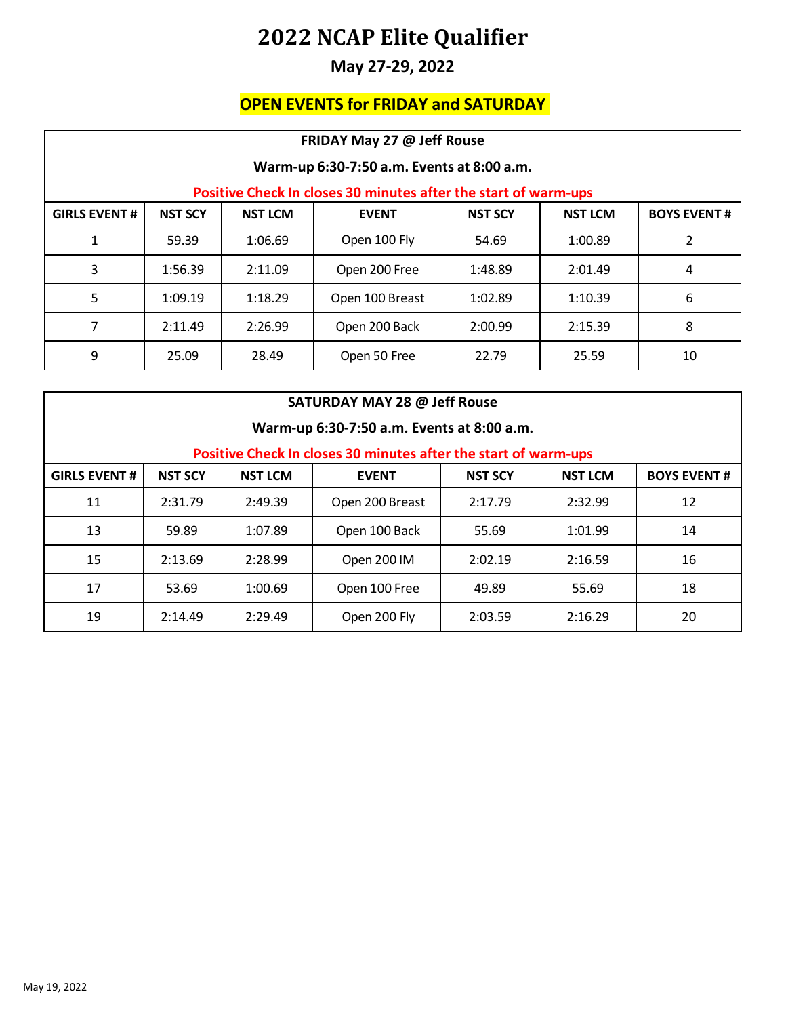#### **May 27-29, 2022**

### **OPEN EVENTS for FRIDAY and SATURDAY**

| FRIDAY May 27 @ Jeff Rouse                 |                |                |                                                                 |                |                |                    |  |
|--------------------------------------------|----------------|----------------|-----------------------------------------------------------------|----------------|----------------|--------------------|--|
| Warm-up 6:30-7:50 a.m. Events at 8:00 a.m. |                |                |                                                                 |                |                |                    |  |
|                                            |                |                | Positive Check In closes 30 minutes after the start of warm-ups |                |                |                    |  |
| <b>GIRLS EVENT#</b>                        | <b>NST SCY</b> | <b>NST LCM</b> | <b>EVENT</b>                                                    | <b>NST SCY</b> | <b>NST LCM</b> | <b>BOYS EVENT#</b> |  |
| 1                                          | 59.39          | 1:06.69        | Open 100 Fly                                                    | 54.69          | 1:00.89        | 2                  |  |
| 3                                          | 1:56.39        | 2:11.09        | Open 200 Free                                                   | 1:48.89        | 2:01.49        | 4                  |  |
| 5                                          | 1:09.19        | 1:18.29        | Open 100 Breast                                                 | 1:02.89        | 1:10.39        | 6                  |  |
| 7                                          | 2:11.49        | 2:26.99        | Open 200 Back                                                   | 2:00.99        | 2:15.39        | 8                  |  |
| 9                                          | 25.09          | 28.49          | Open 50 Free                                                    | 22.79          | 25.59          | 10                 |  |

| SATURDAY MAY 28 @ Jeff Rouse               |                |                |                                                                 |                |                |                    |  |
|--------------------------------------------|----------------|----------------|-----------------------------------------------------------------|----------------|----------------|--------------------|--|
| Warm-up 6:30-7:50 a.m. Events at 8:00 a.m. |                |                |                                                                 |                |                |                    |  |
|                                            |                |                | Positive Check In closes 30 minutes after the start of warm-ups |                |                |                    |  |
| <b>GIRLS EVENT#</b>                        | <b>NST SCY</b> | <b>NST LCM</b> | <b>EVENT</b>                                                    | <b>NST SCY</b> | <b>NST LCM</b> | <b>BOYS EVENT#</b> |  |
| 11                                         | 2:31.79        | 2:49.39        | Open 200 Breast                                                 | 2:17.79        | 2:32.99        | 12                 |  |
| 13                                         | 59.89          | 1:07.89        | Open 100 Back                                                   | 55.69          | 1:01.99        | 14                 |  |
| 15                                         | 2:13.69        | 2:28.99        | Open 200 IM                                                     | 2:02.19        | 2:16.59        | 16                 |  |
| 17                                         | 53.69          | 1:00.69        | Open 100 Free                                                   | 49.89          | 55.69          | 18                 |  |
| 19                                         | 2:14.49        | 2:29.49        | Open 200 Fly                                                    | 2:03.59        | 2:16.29        | 20                 |  |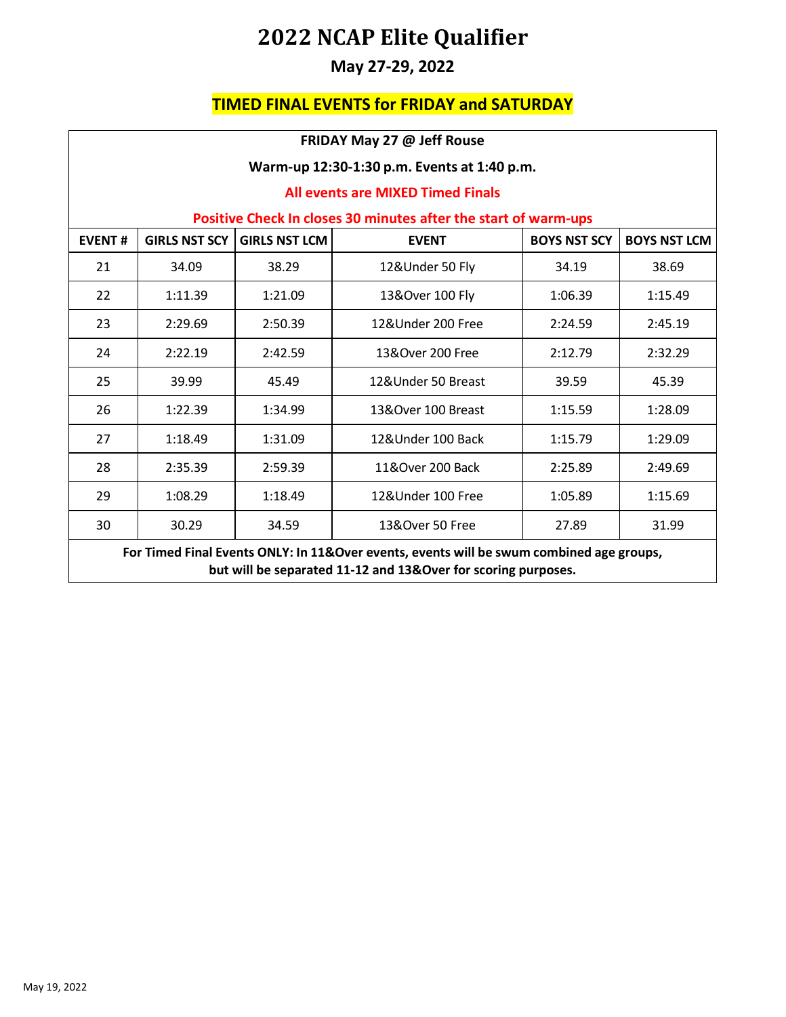### **May 27-29, 2022**

#### **TIMED FINAL EVENTS for FRIDAY and SATURDAY**

| FRIDAY May 27 @ Jeff Rouse                  |                                                                                                                                                           |                      |                    |                     |                     |  |  |  |
|---------------------------------------------|-----------------------------------------------------------------------------------------------------------------------------------------------------------|----------------------|--------------------|---------------------|---------------------|--|--|--|
| Warm-up 12:30-1:30 p.m. Events at 1:40 p.m. |                                                                                                                                                           |                      |                    |                     |                     |  |  |  |
|                                             | <b>All events are MIXED Timed Finals</b>                                                                                                                  |                      |                    |                     |                     |  |  |  |
|                                             | Positive Check In closes 30 minutes after the start of warm-ups                                                                                           |                      |                    |                     |                     |  |  |  |
| <b>EVENT#</b>                               | <b>GIRLS NST SCY</b>                                                                                                                                      | <b>GIRLS NST LCM</b> | <b>EVENT</b>       | <b>BOYS NST SCY</b> | <b>BOYS NST LCM</b> |  |  |  |
| 21                                          | 34.09                                                                                                                                                     | 38.29                | 12&Under 50 Fly    | 34.19               | 38.69               |  |  |  |
| 22                                          | 1:11.39                                                                                                                                                   | 1:21.09              | 13&Over 100 Fly    | 1:06.39             | 1:15.49             |  |  |  |
| 23                                          | 2:29.69                                                                                                                                                   | 2:50.39              | 12&Under 200 Free  | 2:24.59             | 2:45.19             |  |  |  |
| 24                                          | 2:22.19                                                                                                                                                   | 2:42.59              | 13&Over 200 Free   | 2:12.79             | 2:32.29             |  |  |  |
| 25                                          | 39.99                                                                                                                                                     | 45.49                | 12&Under 50 Breast | 39.59               | 45.39               |  |  |  |
| 26                                          | 1:22.39                                                                                                                                                   | 1:34.99              | 13&Over 100 Breast | 1:15.59             | 1:28.09             |  |  |  |
| 27                                          | 1:18.49                                                                                                                                                   | 1:31.09              | 12&Under 100 Back  | 1:15.79             | 1:29.09             |  |  |  |
| 28                                          | 2:35.39                                                                                                                                                   | 2:59.39              | 11&Over 200 Back   | 2:25.89             | 2:49.69             |  |  |  |
| 29                                          | 1:08.29                                                                                                                                                   | 1:18.49              | 12&Under 100 Free  | 1:05.89             | 1:15.69             |  |  |  |
| 30                                          | 13&Over 50 Free<br>30.29<br>34.59<br>27.89<br>31.99                                                                                                       |                      |                    |                     |                     |  |  |  |
|                                             | For Timed Final Events ONLY: In 11&Over events, events will be swum combined age groups,<br>but will be separated 11-12 and 13&Over for scoring purposes. |                      |                    |                     |                     |  |  |  |